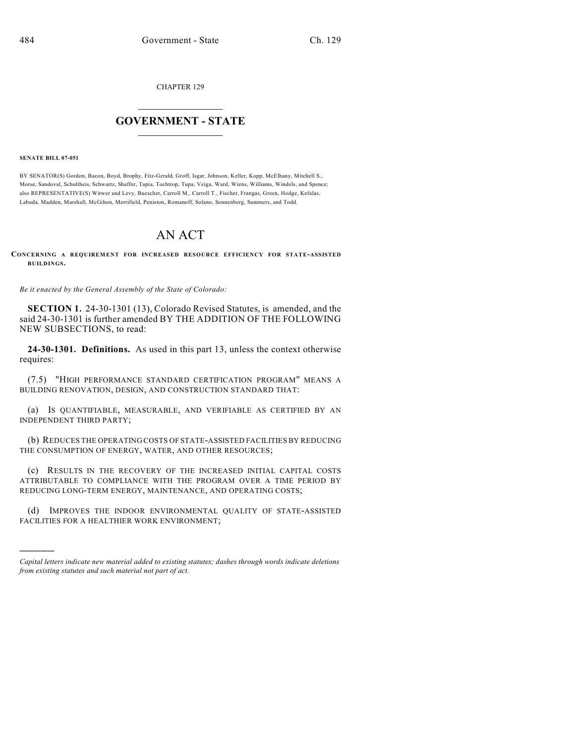CHAPTER 129

## $\mathcal{L}_\text{max}$  . The set of the set of the set of the set of the set of the set of the set of the set of the set of the set of the set of the set of the set of the set of the set of the set of the set of the set of the set **GOVERNMENT - STATE**  $\_$   $\_$   $\_$   $\_$   $\_$   $\_$   $\_$   $\_$   $\_$

**SENATE BILL 07-051**

)))))

BY SENATOR(S) Gordon, Bacon, Boyd, Brophy, Fitz-Gerald, Groff, Isgar, Johnson, Keller, Kopp, McElhany, Mitchell S., Morse, Sandoval, Schultheis, Schwartz, Shaffer, Tapia, Tochtrop, Tupa, Veiga, Ward, Wiens, Williams, Windels, and Spence; also REPRESENTATIVE(S) Witwer and Levy, Buescher, Carroll M., Carroll T., Fischer, Frangas, Green, Hodge, Kefalas, Labuda, Madden, Marshall, McGihon, Merrifield, Peniston, Romanoff, Solano, Sonnenberg, Summers, and Todd.

## AN ACT

**CONCERNING A REQUIREMENT FOR INCREASED RESOURCE EFFICIENCY FOR STATE-ASSISTED BUILDINGS.**

*Be it enacted by the General Assembly of the State of Colorado:*

**SECTION 1.** 24-30-1301 (13), Colorado Revised Statutes, is amended, and the said 24-30-1301 is further amended BY THE ADDITION OF THE FOLLOWING NEW SUBSECTIONS, to read:

**24-30-1301. Definitions.** As used in this part 13, unless the context otherwise requires:

(7.5) "HIGH PERFORMANCE STANDARD CERTIFICATION PROGRAM" MEANS A BUILDING RENOVATION, DESIGN, AND CONSTRUCTION STANDARD THAT:

(a) IS QUANTIFIABLE, MEASURABLE, AND VERIFIABLE AS CERTIFIED BY AN INDEPENDENT THIRD PARTY;

(b) REDUCES THE OPERATING COSTS OF STATE-ASSISTED FACILITIES BY REDUCING THE CONSUMPTION OF ENERGY, WATER, AND OTHER RESOURCES;

(c) RESULTS IN THE RECOVERY OF THE INCREASED INITIAL CAPITAL COSTS ATTRIBUTABLE TO COMPLIANCE WITH THE PROGRAM OVER A TIME PERIOD BY REDUCING LONG-TERM ENERGY, MAINTENANCE, AND OPERATING COSTS;

(d) IMPROVES THE INDOOR ENVIRONMENTAL QUALITY OF STATE-ASSISTED FACILITIES FOR A HEALTHIER WORK ENVIRONMENT;

*Capital letters indicate new material added to existing statutes; dashes through words indicate deletions from existing statutes and such material not part of act.*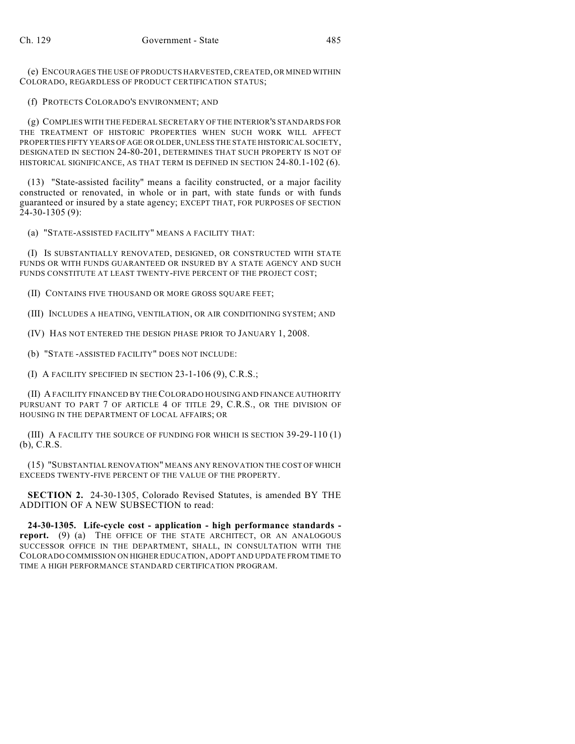(e) ENCOURAGES THE USE OF PRODUCTS HARVESTED, CREATED, OR MINED WITHIN COLORADO, REGARDLESS OF PRODUCT CERTIFICATION STATUS;

(f) PROTECTS COLORADO'S ENVIRONMENT; AND

(g) COMPLIES WITH THE FEDERAL SECRETARY OF THE INTERIOR'S STANDARDS FOR THE TREATMENT OF HISTORIC PROPERTIES WHEN SUCH WORK WILL AFFECT PROPERTIES FIFTY YEARS OF AGE OR OLDER, UNLESS THE STATE HISTORICAL SOCIETY, DESIGNATED IN SECTION 24-80-201, DETERMINES THAT SUCH PROPERTY IS NOT OF HISTORICAL SIGNIFICANCE, AS THAT TERM IS DEFINED IN SECTION 24-80.1-102 (6).

(13) "State-assisted facility" means a facility constructed, or a major facility constructed or renovated, in whole or in part, with state funds or with funds guaranteed or insured by a state agency; EXCEPT THAT, FOR PURPOSES OF SECTION  $24-30-1305(9)$ :

(a) "STATE-ASSISTED FACILITY" MEANS A FACILITY THAT:

(I) IS SUBSTANTIALLY RENOVATED, DESIGNED, OR CONSTRUCTED WITH STATE FUNDS OR WITH FUNDS GUARANTEED OR INSURED BY A STATE AGENCY AND SUCH FUNDS CONSTITUTE AT LEAST TWENTY-FIVE PERCENT OF THE PROJECT COST;

(II) CONTAINS FIVE THOUSAND OR MORE GROSS SQUARE FEET;

(III) INCLUDES A HEATING, VENTILATION, OR AIR CONDITIONING SYSTEM; AND

(IV) HAS NOT ENTERED THE DESIGN PHASE PRIOR TO JANUARY 1, 2008.

(b) "STATE -ASSISTED FACILITY" DOES NOT INCLUDE:

(I) A FACILITY SPECIFIED IN SECTION 23-1-106 (9), C.R.S.;

(II) A FACILITY FINANCED BY THE COLORADO HOUSING AND FINANCE AUTHORITY PURSUANT TO PART 7 OF ARTICLE 4 OF TITLE 29, C.R.S., OR THE DIVISION OF HOUSING IN THE DEPARTMENT OF LOCAL AFFAIRS; OR

(III) A FACILITY THE SOURCE OF FUNDING FOR WHICH IS SECTION 39-29-110 (1) (b), C.R.S.

(15) "SUBSTANTIAL RENOVATION" MEANS ANY RENOVATION THE COST OF WHICH EXCEEDS TWENTY-FIVE PERCENT OF THE VALUE OF THE PROPERTY.

**SECTION 2.** 24-30-1305, Colorado Revised Statutes, is amended BY THE ADDITION OF A NEW SUBSECTION to read:

**24-30-1305. Life-cycle cost - application - high performance standards report.** (9) (a) THE OFFICE OF THE STATE ARCHITECT, OR AN ANALOGOUS SUCCESSOR OFFICE IN THE DEPARTMENT, SHALL, IN CONSULTATION WITH THE COLORADO COMMISSION ON HIGHER EDUCATION, ADOPT AND UPDATE FROM TIME TO TIME A HIGH PERFORMANCE STANDARD CERTIFICATION PROGRAM.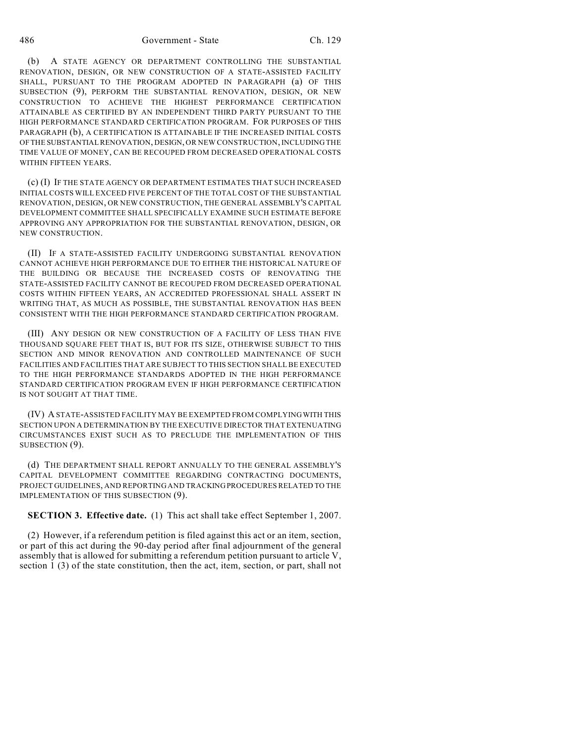(b) A STATE AGENCY OR DEPARTMENT CONTROLLING THE SUBSTANTIAL RENOVATION, DESIGN, OR NEW CONSTRUCTION OF A STATE-ASSISTED FACILITY SHALL, PURSUANT TO THE PROGRAM ADOPTED IN PARAGRAPH (a) OF THIS SUBSECTION (9), PERFORM THE SUBSTANTIAL RENOVATION, DESIGN, OR NEW CONSTRUCTION TO ACHIEVE THE HIGHEST PERFORMANCE CERTIFICATION ATTAINABLE AS CERTIFIED BY AN INDEPENDENT THIRD PARTY PURSUANT TO THE HIGH PERFORMANCE STANDARD CERTIFICATION PROGRAM. FOR PURPOSES OF THIS PARAGRAPH (b), A CERTIFICATION IS ATTAINABLE IF THE INCREASED INITIAL COSTS OF THE SUBSTANTIAL RENOVATION, DESIGN, OR NEW CONSTRUCTION, INCLUDING THE TIME VALUE OF MONEY, CAN BE RECOUPED FROM DECREASED OPERATIONAL COSTS WITHIN FIFTEEN YEARS.

(c) (I) IF THE STATE AGENCY OR DEPARTMENT ESTIMATES THAT SUCH INCREASED INITIAL COSTS WILL EXCEED FIVE PERCENT OF THE TOTAL COST OF THE SUBSTANTIAL RENOVATION, DESIGN, OR NEW CONSTRUCTION, THE GENERAL ASSEMBLY'S CAPITAL DEVELOPMENT COMMITTEE SHALL SPECIFICALLY EXAMINE SUCH ESTIMATE BEFORE APPROVING ANY APPROPRIATION FOR THE SUBSTANTIAL RENOVATION, DESIGN, OR NEW CONSTRUCTION.

(II) IF A STATE-ASSISTED FACILITY UNDERGOING SUBSTANTIAL RENOVATION CANNOT ACHIEVE HIGH PERFORMANCE DUE TO EITHER THE HISTORICAL NATURE OF THE BUILDING OR BECAUSE THE INCREASED COSTS OF RENOVATING THE STATE-ASSISTED FACILITY CANNOT BE RECOUPED FROM DECREASED OPERATIONAL COSTS WITHIN FIFTEEN YEARS, AN ACCREDITED PROFESSIONAL SHALL ASSERT IN WRITING THAT, AS MUCH AS POSSIBLE, THE SUBSTANTIAL RENOVATION HAS BEEN CONSISTENT WITH THE HIGH PERFORMANCE STANDARD CERTIFICATION PROGRAM.

(III) ANY DESIGN OR NEW CONSTRUCTION OF A FACILITY OF LESS THAN FIVE THOUSAND SQUARE FEET THAT IS, BUT FOR ITS SIZE, OTHERWISE SUBJECT TO THIS SECTION AND MINOR RENOVATION AND CONTROLLED MAINTENANCE OF SUCH FACILITIES AND FACILITIES THAT ARE SUBJECT TO THIS SECTION SHALL BE EXECUTED TO THE HIGH PERFORMANCE STANDARDS ADOPTED IN THE HIGH PERFORMANCE STANDARD CERTIFICATION PROGRAM EVEN IF HIGH PERFORMANCE CERTIFICATION IS NOT SOUGHT AT THAT TIME.

(IV) A STATE-ASSISTED FACILITY MAY BE EXEMPTED FROM COMPLYING WITH THIS SECTION UPON A DETERMINATION BY THE EXECUTIVE DIRECTOR THAT EXTENUATING CIRCUMSTANCES EXIST SUCH AS TO PRECLUDE THE IMPLEMENTATION OF THIS SUBSECTION  $(9)$ .

(d) THE DEPARTMENT SHALL REPORT ANNUALLY TO THE GENERAL ASSEMBLY'S CAPITAL DEVELOPMENT COMMITTEE REGARDING CONTRACTING DOCUMENTS, PROJECT GUIDELINES, AND REPORTING AND TRACKING PROCEDURES RELATED TO THE IMPLEMENTATION OF THIS SUBSECTION (9).

**SECTION 3. Effective date.** (1) This act shall take effect September 1, 2007.

(2) However, if a referendum petition is filed against this act or an item, section, or part of this act during the 90-day period after final adjournment of the general assembly that is allowed for submitting a referendum petition pursuant to article V, section 1 (3) of the state constitution, then the act, item, section, or part, shall not